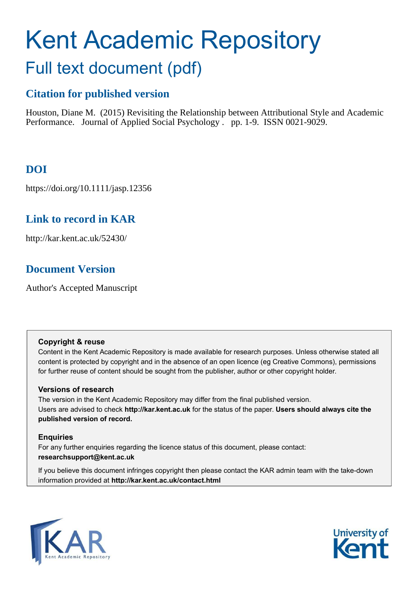# Kent Academic Repository Full text document (pdf)

# **Citation for published version**

Houston, Diane M. (2015) Revisiting the Relationship between Attributional Style and Academic Performance. Journal of Applied Social Psychology . pp. 1-9. ISSN 0021-9029.

# **DOI**

https://doi.org/10.1111/jasp.12356

# **Link to record in KAR**

http://kar.kent.ac.uk/52430/

# **Document Version**

Author's Accepted Manuscript

# **Copyright & reuse**

Content in the Kent Academic Repository is made available for research purposes. Unless otherwise stated all content is protected by copyright and in the absence of an open licence (eg Creative Commons), permissions for further reuse of content should be sought from the publisher, author or other copyright holder.

# **Versions of research**

The version in the Kent Academic Repository may differ from the final published version. Users are advised to check **http://kar.kent.ac.uk** for the status of the paper. **Users should always cite the published version of record.**

# **Enquiries**

For any further enquiries regarding the licence status of this document, please contact: **researchsupport@kent.ac.uk**

If you believe this document infringes copyright then please contact the KAR admin team with the take-down information provided at **http://kar.kent.ac.uk/contact.html**



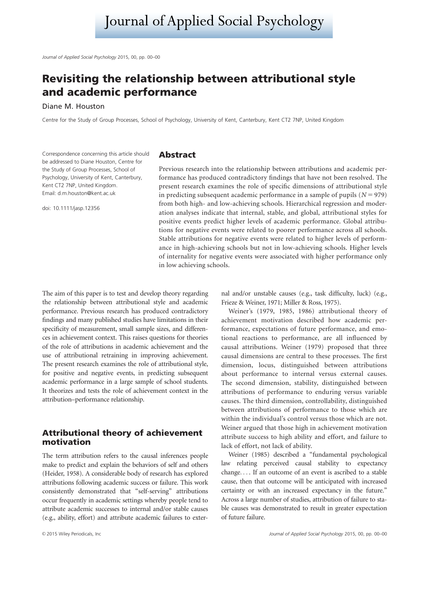# Revisiting the relationship between attributional style and academic performance

#### Diane M. Houston

Centre for the Study of Group Processes, School of Psychology, University of Kent, Canterbury, Kent CT2 7NP, United Kingdom

Correspondence concerning this article should be addressed to Diane Houston, Centre for the Study of Group Processes, School of Psychology, University of Kent, Canterbury, Kent CT2 7NP, United Kingdom. Email: d.m.houston@kent.ac.uk

doi: 10.1111/jasp.12356

## Abstract

Previous research into the relationship between attributions and academic performance has produced contradictory findings that have not been resolved. The present research examines the role of specific dimensions of attributional style in predicting subsequent academic performance in a sample of pupils  $(N = 979)$ from both high- and low-achieving schools. Hierarchical regression and moderation analyses indicate that internal, stable, and global, attributional styles for positive events predict higher levels of academic performance. Global attributions for negative events were related to poorer performance across all schools. Stable attributions for negative events were related to higher levels of performance in high-achieving schools but not in low-achieving schools. Higher levels of internality for negative events were associated with higher performance only in low achieving schools.

The aim of this paper is to test and develop theory regarding the relationship between attributional style and academic performance. Previous research has produced contradictory findings and many published studies have limitations in their specificity of measurement, small sample sizes, and differences in achievement context. This raises questions for theories of the role of attributions in academic achievement and the use of attributional retraining in improving achievement. The present research examines the role of attributional style, for positive and negative events, in predicting subsequent academic performance in a large sample of school students. It theorizes and tests the role of achievement context in the attribution–performance relationship.

# Attributional theory of achievement motivation

The term attribution refers to the causal inferences people make to predict and explain the behaviors of self and others (Heider, 1958). A considerable body of research has explored attributions following academic success or failure. This work consistently demonstrated that "self-serving" attributions occur frequently in academic settings whereby people tend to attribute academic successes to internal and/or stable causes (e.g., ability, effort) and attribute academic failures to external and/or unstable causes (e.g., task difficulty, luck) (e.g., Frieze & Weiner, 1971; Miller & Ross, 1975).

Weiner's (1979, 1985, 1986) attributional theory of achievement motivation described how academic performance, expectations of future performance, and emotional reactions to performance, are all influenced by causal attributions. Weiner (1979) proposed that three causal dimensions are central to these processes. The first dimension, locus, distinguished between attributions about performance to internal versus external causes. The second dimension, stability, distinguished between attributions of performance to enduring versus variable causes. The third dimension, controllability, distinguished between attributions of performance to those which are within the individual's control versus those which are not. Weiner argued that those high in achievement motivation attribute success to high ability and effort, and failure to lack of effort, not lack of ability.

Weiner (1985) described a "fundamental psychological law relating perceived causal stability to expectancy change... . If an outcome of an event is ascribed to a stable cause, then that outcome will be anticipated with increased certainty or with an increased expectancy in the future." Across a large number of studies, attribution of failure to stable causes was demonstrated to result in greater expectation of future failure.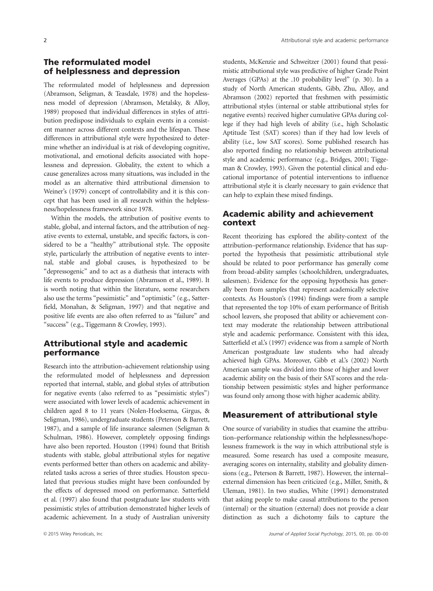# The reformulated model of helplessness and depression

The reformulated model of helplessness and depression (Abramson, Seligman, & Teasdale, 1978) and the hopelessness model of depression (Abramson, Metalsky, & Alloy, 1989) proposed that individual differences in styles of attribution predispose individuals to explain events in a consistent manner across different contexts and the lifespan. These differences in attributional style were hypothesized to determine whether an individual is at risk of developing cognitive, motivational, and emotional deficits associated with hopelessness and depression. Globality, the extent to which a cause generalizes across many situations, was included in the model as an alternative third attributional dimension to Weiner's (1979) concept of controllability and it is this concept that has been used in all research within the helplessness/hopelessness framework since 1978.

Within the models, the attribution of positive events to stable, global, and internal factors, and the attribution of negative events to external, unstable, and specific factors, is considered to be a "healthy" attributional style. The opposite style, particularly the attribution of negative events to internal, stable and global causes, is hypothesized to be "depressogenic" and to act as a diathesis that interacts with life events to produce depression (Abramson et al., 1989). It is worth noting that within the literature, some researchers also use the terms "pessimistic" and "optimistic" (e.g., Satterfield, Monahan, & Seligman, 1997) and that negative and positive life events are also often referred to as "failure" and "success" (e.g., Tiggemann & Crowley, 1993).

# Attributional style and academic performance

Research into the attribution–achievement relationship using the reformulated model of helplessness and depression reported that internal, stable, and global styles of attribution for negative events (also referred to as "pessimistic styles") were associated with lower levels of academic achievement in children aged 8 to 11 years (Nolen-Hoeksema, Girgus, & Seligman, 1986), undergraduate students (Peterson & Barrett, 1987), and a sample of life insurance salesmen (Seligman & Schulman, 1986). However, completely opposing findings have also been reported. Houston (1994) found that British students with stable, global attributional styles for negative events performed better than others on academic and abilityrelated tasks across a series of three studies. Houston speculated that previous studies might have been confounded by the effects of depressed mood on performance. Satterfield et al. (1997) also found that postgraduate law students with pessimistic styles of attribution demonstrated higher levels of academic achievement. In a study of Australian university

students, McKenzie and Schweitzer (2001) found that pessimistic attributional style was predictive of higher Grade Point Averages (GPAs) at the .10 probability level" (p. 30). In a study of North American students, Gibb, Zhu, Alloy, and Abramson (2002) reported that freshmen with pessimistic attributional styles (internal or stable attributional styles for negative events) received higher cumulative GPAs during college if they had high levels of ability (i.e., high Scholastic Aptitude Test (SAT) scores) than if they had low levels of ability (i.e., low SAT scores). Some published research has also reported finding no relationship between attributional style and academic performance (e.g., Bridges, 2001; Tiggeman & Crowley, 1993). Given the potential clinical and educational importance of potential interventions to influence attributional style it is clearly necessary to gain evidence that can help to explain these mixed findings.

# Academic ability and achievement context

Recent theorizing has explored the ability-context of the attribution–performance relationship. Evidence that has supported the hypothesis that pessimistic attributional style should be related to poor performance has generally come from broad-ability samples (schoolchildren, undergraduates, salesmen). Evidence for the opposing hypothesis has generally been from samples that represent academically selective contexts. As Houston's (1994) findings were from a sample that represented the top 10% of exam performance of British school leavers, she proposed that ability or achievement context may moderate the relationship between attributional style and academic performance. Consistent with this idea, Satterfield et al.'s (1997) evidence was from a sample of North American postgraduate law students who had already achieved high GPAs. Moreover, Gibb et al.'s (2002) North American sample was divided into those of higher and lower academic ability on the basis of their SAT scores and the relationship between pessimistic styles and higher performance was found only among those with higher academic ability.

# Measurement of attributional style

One source of variability in studies that examine the attribution–performance relationship within the helplessness/hopelessness framework is the way in which attributional style is measured. Some research has used a composite measure, averaging scores on internality, stability and globality dimensions (e.g., Peterson & Barrett, 1987). However, the internal– external dimension has been criticized (e.g., Miller, Smith, & Uleman, 1981). In two studies, White (1991) demonstrated that asking people to make causal attributions to the person (internal) or the situation (external) does not provide a clear distinction as such a dichotomy fails to capture the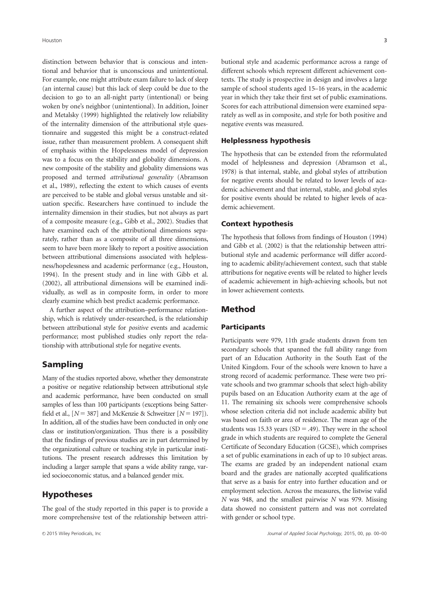distinction between behavior that is conscious and intentional and behavior that is unconscious and unintentional. For example, one might attribute exam failure to lack of sleep (an internal cause) but this lack of sleep could be due to the decision to go to an all-night party (intentional) or being woken by one's neighbor (unintentional). In addition, Joiner and Metalsky (1999) highlighted the relatively low reliability of the internality dimension of the attributional style questionnaire and suggested this might be a construct-related issue, rather than measurement problem. A consequent shift of emphasis within the Hopelessness model of depression was to a focus on the stability and globality dimensions. A new composite of the stability and globality dimensions was proposed and termed attributional generality (Abramson et al., 1989), reflecting the extent to which causes of events are perceived to be stable and global versus unstable and situation specific. Researchers have continued to include the internality dimension in their studies, but not always as part of a composite measure (e.g., Gibb et al., 2002). Studies that have examined each of the attributional dimensions separately, rather than as a composite of all three dimensions, seem to have been more likely to report a positive association between attributional dimensions associated with helplessness/hopelessness and academic performance (e.g., Houston, 1994). In the present study and in line with Gibb et al. (2002), all attributional dimensions will be examined individually, as well as in composite form, in order to more clearly examine which best predict academic performance.

A further aspect of the attribution–performance relationship, which is relatively under-researched, is the relationship between attributional style for positive events and academic performance; most published studies only report the relationship with attributional style for negative events.

### Sampling

Many of the studies reported above, whether they demonstrate a positive or negative relationship between attributional style and academic performance, have been conducted on small samples of less than 100 participants (exceptions being Satterfield et al.,  $[N = 387]$  and McKenzie & Schweitzer  $[N = 197]$ ). In addition, all of the studies have been conducted in only one class or institution/organization. Thus there is a possibility that the findings of previous studies are in part determined by the organizational culture or teaching style in particular institutions. The present research addresses this limitation by including a larger sample that spans a wide ability range, varied socioeconomic status, and a balanced gender mix.

## Hypotheses

The goal of the study reported in this paper is to provide a more comprehensive test of the relationship between attributional style and academic performance across a range of different schools which represent different achievement contexts. The study is prospective in design and involves a large sample of school students aged 15–16 years, in the academic year in which they take their first set of public examinations. Scores for each attributional dimension were examined separately as well as in composite, and style for both positive and negative events was measured.

#### Helplessness hypothesis

The hypothesis that can be extended from the reformulated model of helplessness and depression (Abramson et al., 1978) is that internal, stable, and global styles of attribution for negative events should be related to lower levels of academic achievement and that internal, stable, and global styles for positive events should be related to higher levels of academic achievement.

#### Context hypothesis

The hypothesis that follows from findings of Houston (1994) and Gibb et al. (2002) is that the relationship between attributional style and academic performance will differ according to academic ability/achievement context, such that stable attributions for negative events will be related to higher levels of academic achievement in high-achieving schools, but not in lower achievement contexts.

# Method

#### **Participants**

Participants were 979, 11th grade students drawn from ten secondary schools that spanned the full ability range from part of an Education Authority in the South East of the United Kingdom. Four of the schools were known to have a strong record of academic performance. These were two private schools and two grammar schools that select high-ability pupils based on an Education Authority exam at the age of 11. The remaining six schools were comprehensive schools whose selection criteria did not include academic ability but was based on faith or area of residence. The mean age of the students was 15.33 years ( $SD = .49$ ). They were in the school grade in which students are required to complete the General Certificate of Secondary Education (GCSE), which comprises a set of public examinations in each of up to 10 subject areas. The exams are graded by an independent national exam board and the grades are nationally accepted qualifications that serve as a basis for entry into further education and or employment selection. Across the measures, the listwise valid N was 948, and the smallest pairwise N was 979. Missing data showed no consistent pattern and was not correlated with gender or school type.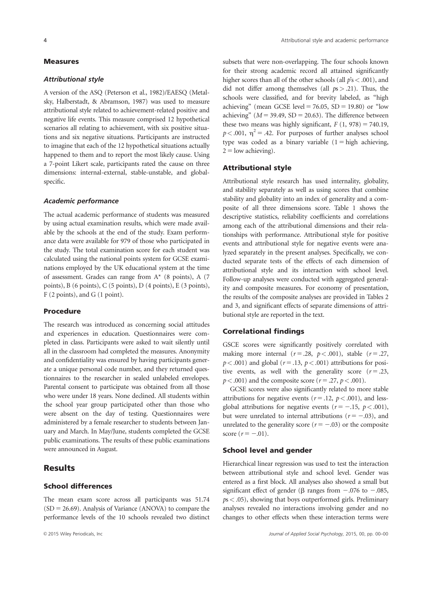#### Measures

#### Attributional style

A version of the ASQ (Peterson et al., 1982)/EAESQ (Metalsky, Halberstadt, & Abramson, 1987) was used to measure attributional style related to achievement-related positive and negative life events. This measure comprised 12 hypothetical scenarios all relating to achievement, with six positive situations and six negative situations. Participants are instructed to imagine that each of the 12 hypothetical situations actually happened to them and to report the most likely cause. Using a 7-point Likert scale, participants rated the cause on three dimensions: internal-external, stable-unstable, and globalspecific.

#### Academic performance

The actual academic performance of students was measured by using actual examination results, which were made available by the schools at the end of the study. Exam performance data were available for 979 of those who participated in the study. The total examination score for each student was calculated using the national points system for GCSE examinations employed by the UK educational system at the time of assessment. Grades can range from A\* (8 points), A (7 points), B (6 points), C (5 points), D (4 points), E (3 points), F (2 points), and G (1 point).

#### Procedure

The research was introduced as concerning social attitudes and experiences in education. Questionnaires were completed in class. Participants were asked to wait silently until all in the classroom had completed the measures. Anonymity and confidentiality was ensured by having participants generate a unique personal code number, and they returned questionnaires to the researcher in sealed unlabeled envelopes. Parental consent to participate was obtained from all those who were under 18 years. None declined. All students within the school year group participated other than those who were absent on the day of testing. Questionnaires were administered by a female researcher to students between January and March. In May/June, students completed the GCSE public examinations. The results of these public examinations were announced in August.

## **Results**

#### School differences

The mean exam score across all participants was 51.74  $(SD = 26.69)$ . Analysis of Variance (ANOVA) to compare the performance levels of the 10 schools revealed two distinct subsets that were non-overlapping. The four schools known for their strong academic record all attained significantly higher scores than all of the other schools (all  $\hat{p}$ 's < .001), and did not differ among themselves (all  $ps > .21$ ). Thus, the schools were classified, and for brevity labeled, as "high achieving" (mean GCSE level  $= 76.05$ , SD  $= 19.80$ ) or "low achieving" ( $M = 39.49$ , SD = 20.63). The difference between these two means was highly significant,  $F(1, 978) = 740.19$ ,  $p < .001$ ,  $\eta^2 = .42$ . For purposes of further analyses school type was coded as a binary variable  $(1 = high \text{ achieving},$  $2 =$  low achieving).

#### Attributional style

Attributional style research has used internality, globality, and stability separately as well as using scores that combine stability and globality into an index of generality and a composite of all three dimensions score. Table 1 shows the descriptive statistics, reliability coefficients and correlations among each of the attributional dimensions and their relationships with performance. Attributional style for positive events and attributional style for negative events were analyzed separately in the present analyses. Specifically, we conducted separate tests of the effects of each dimension of attributional style and its interaction with school level. Follow-up analyses were conducted with aggregated generality and composite measures. For economy of presentation, the results of the composite analyses are provided in Tables 2 and 3, and significant effects of separate dimensions of attributional style are reported in the text.

#### Correlational findings

GSCE scores were significantly positively correlated with making more internal  $(r=.28, p<.001)$ , stable  $(r=.27,$  $p < .001$ ) and global ( $r = .13$ ,  $p < .001$ ) attributions for positive events, as well with the generality score  $(r = .23, )$  $p < .001$ ) and the composite score ( $r = .27$ ,  $p < .001$ ).

GCSE scores were also significantly related to more stable attributions for negative events ( $r = .12$ ,  $p < .001$ ), and lessglobal attributions for negative events ( $r = -.15$ ,  $p < .001$ ), but were unrelated to internal attributions ( $r = -.03$ ), and unrelated to the generality score ( $r = -.03$ ) or the composite score  $(r = -.01)$ .

#### School level and gender

Hierarchical linear regression was used to test the interaction between attributional style and school level. Gender was entered as a first block. All analyses also showed a small but significant effect of gender ( $\beta$  ranges from  $-.076$  to  $-.085$ ,  $ps < .05$ ), showing that boys outperformed girls. Preliminary analyses revealed no interactions involving gender and no changes to other effects when these interaction terms were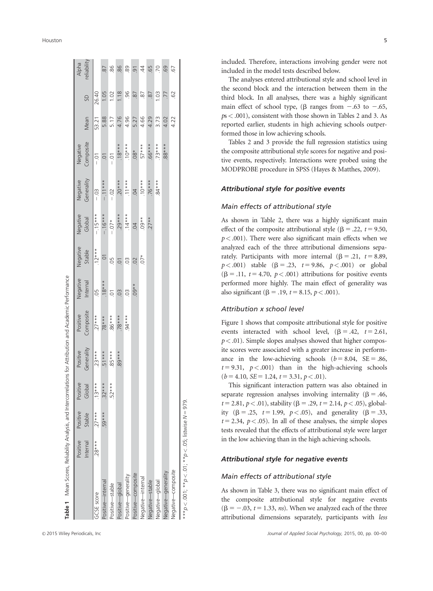| Table 1 Mean Scores, Reliability Analysis, and Intercorrelations for Attribution and Academic Performance |          |          |          |            |           |                |                |                |                |                |       |       |                |
|-----------------------------------------------------------------------------------------------------------|----------|----------|----------|------------|-----------|----------------|----------------|----------------|----------------|----------------|-------|-------|----------------|
|                                                                                                           | Positive | Positive | Positive | Positive   | Positive  | Negative       | Negative       | Negative       | Negative       | Negative       |       |       | Alpha          |
|                                                                                                           | Internal | Stable   | Global   | Generality | Composite | Internal       | Stable         | Global         | Generality     | Composite      | Mean  | SD    | reliability    |
| GCSE score                                                                                                | $28***$  | $27***$  | $13***$  | $.23***$   | $.27***$  | 05             | $.12***$       | $-15***$       | $-0.0$         | $-0.1$         | 53.21 | 26.40 |                |
| Positive-internal                                                                                         |          | 59***    | $32***$  | $51***$    | $78***$   | $.18***$       | $\overline{O}$ | $-16***$       | $-11***$       | $\overline{0}$ | 5.88  | 1.05  | 87             |
| Positive-stable                                                                                           |          |          | $.52***$ | $***85$    | $86***$   | $\overline{O}$ | $-0.5$         | $-0.07*$       | $-0.02$        | $-0.1$         | 5.17  | 1.02  | 86             |
| Positive-global                                                                                           |          |          |          | 89***      | $.78***$  | 03             | $\overline{0}$ | $.29***$       | $.20***$       | $.18***$       | 4.76  | 1.18  | 86             |
| Positive-generality                                                                                       |          |          |          |            | $94***$   | $\overline{0}$ | $\overline{0}$ | $.14***$       | $11***$        | $* * * 10*$    | 4.96  | $-96$ | 89             |
| Positive-composite                                                                                        |          |          |          |            |           | $09**$         | 02             | $\overline{6}$ | $\overline{a}$ | $.08*$         | 5.27  | .87   | $\overline{9}$ |
| <b>Negative</b> —internal                                                                                 |          |          |          |            |           |                | $07*$          | $.09**$        | $* * * 0.1$    | $57***$        | 4.66  | 87    | $\ddot{4}$     |
| Vegative-stable                                                                                           |          |          |          |            |           |                |                | $.27**$        | $.76***$       | $566***$       | 4.29  | 87    | -65            |
| Vegative—global                                                                                           |          |          |          |            |           |                |                |                | $***8.$        | $.73***$       | 3.73  | 1.03  | 70             |
| Negative-generality                                                                                       |          |          |          |            |           |                |                |                |                | $88***$        | 4.02  | .77   | 69             |
| Negative-composite                                                                                        |          |          |          |            |           |                |                |                |                |                | 4.22  | 29.   | 50             |
|                                                                                                           |          |          |          |            |           |                |                |                |                |                |       |       |                |

.<br>פ/ N\*\*\*p < .001; \*\*p < .01; \*\*p < .05; listwise J  $\frac{1}{2}$ ż O.

included. Therefore, interactions involving gender were not included in the model tests described below.

The analyses entered attributional style and school level in the second block and the interaction between them in the third block. In all analyses, there was a highly significant main effect of school type, ( $\beta$  ranges from  $-.63$  to  $-.65$ ,  $ps < .001$ ), consistent with those shown in Tables 2 and 3. As reported earlier, students in high achieving schools outperformed those in low achieving schools.

Tables 2 and 3 provide the full regression statistics using the composite attributional style scores for negative and positive events, respectively. Interactions were probed using the MODPROBE procedure in SPSS (Hayes & Matthes, 2009).

#### Attributional style for positive events

#### Main effects of attributional style

As shown in Table 2, there was a highly significant main effect of the composite attributional style ( $\beta$  = .22, t = 9.50,  $p < .001$ ). There were also significant main effects when we analyzed each of the three attributional dimensions separately. Participants with more internal ( $\beta$  = .21,  $t$  = 8.89,  $p < .001$ ) stable ( $\beta = .23$ ,  $t = 9.86$ ,  $p < .001$ ) or global  $(\beta = .11, t = 4.70, p < .001)$  attributions for positive events performed more highly. The main effect of generality was also significant ( $\beta = .19$ ,  $t = 8.15$ ,  $p < .001$ ).

#### Attribution x school level

Figure 1 shows that composite attributional style for positive events interacted with school level,  $(\beta = .42, t = 2.61,$  $p < .01$ ). Simple slopes analyses showed that higher composite scores were associated with a greater increase in performance in the low-achieving schools  $(b = 8.04, \text{ SE} = .86,$  $t = 9.31$ ,  $p < .001$ ) than in the high-achieving schools  $(b = 4.10, SE = 1.24, t = 3.31, p < .01).$ 

This significant interaction pattern was also obtained in separate regression analyses involving internality ( $\beta = .46$ ,  $t = 2.81, p < .01$ , stability ( $\beta = .29, t = 2.14, p < .05$ ), globality ( $\beta = .25$ ,  $t = 1.99$ ,  $p < .05$ ), and generality ( $\beta = .33$ ,  $t = 2.34$ ,  $p < .05$ ). In all of these analyses, the simple slopes tests revealed that the effects of attributional style were larger in the low achieving than in the high achieving schools.

#### Attributional style for negative events

#### Main effects of attributional style

As shown in Table 3, there was no significant main effect of the composite attributional style for negative events  $(\beta = -.03, t = 1.33, ns)$ . When we analyzed each of the three attributional dimensions separately, participants with less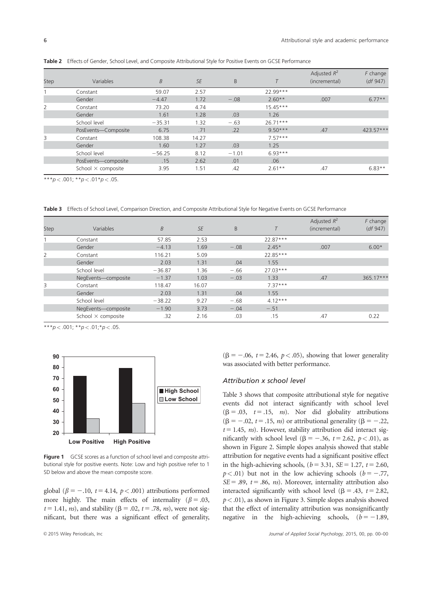| Step | Variables                 | B        | <b>SE</b> | B       |            | Adjusted $R^2$<br>(incremental) | $F$ change<br>(df 947) |
|------|---------------------------|----------|-----------|---------|------------|---------------------------------|------------------------|
|      | Constant                  | 59.07    | 2.57      |         | $22.99***$ |                                 |                        |
|      | Gender                    | $-4.47$  | 1.72      | $-.08$  | $2.60**$   | .007                            | $6.77**$               |
| 2    | Constant                  | 73.20    | 4.74      |         | $15.45***$ |                                 |                        |
|      | Gender                    | 1.61     | 1.28      | .03     | 1.26       |                                 |                        |
|      | School level              | $-35.31$ | 1.32      | $-.63$  | $26.71***$ |                                 |                        |
|      | PosEvents-Composite       | 6.75     | .71       | .22     | $9.50***$  | .47                             | $423.57***$            |
| 3    | Constant                  | 108.38   | 14.27     |         | $7.57***$  |                                 |                        |
|      | Gender                    | 1.60     | 1.27      | .03     | 1.25       |                                 |                        |
|      | School level              | $-56.25$ | 8.12      | $-1.01$ | $6.93***$  |                                 |                        |
|      | PosEvents-composite       | .15      | 2.62      | .01     | .06        |                                 |                        |
|      | School $\times$ composite | 3.95     | 1.51      | .42     | $2.61**$   | .47                             | $6.83**$               |

Table 2 Effects of Gender, School Level, and Composite Attributional Style for Positive Events on GCSE Performance

\*\*\*p < .001; \*\*p < .01\*p < .05.

Table 3 Effects of School Level, Comparison Direction, and Composite Attributional Style for Negative Events on GCSE Performance

| Step | Variables                 | B        | <b>SE</b> | B      |            | Adjusted $R^2$<br>(incremental) | $F$ change<br>(df 947) |
|------|---------------------------|----------|-----------|--------|------------|---------------------------------|------------------------|
|      | Constant                  | 57.85    | 2.53      |        | $22.87***$ |                                 |                        |
|      | Gender                    | $-4.13$  | 1.69      | $-.08$ | $2.45*$    | .007                            | $6.00*$                |
| 2    | Constant                  | 116.21   | 5.09      |        | 22.85***   |                                 |                        |
|      | Gender                    | 2.03     | 1.31      | .04    | 1.55       |                                 |                        |
|      | School level              | $-36.87$ | 1.36      | $-.66$ | $27.03***$ |                                 |                        |
|      | NegEvents-composite       | $-1.37$  | 1.03      | $-.03$ | 1.33       | .47                             | $365.17***$            |
| 3    | Constant                  | 118.47   | 16.07     |        | $7.37***$  |                                 |                        |
|      | Gender                    | 2.03     | 1.31      | .04    | 1.55       |                                 |                        |
|      | School level              | $-38.22$ | 9.27      | $-.68$ | $4.12***$  |                                 |                        |
|      | NegEvents-composite       | $-1.90$  | 3.73      | $-.04$ | $-.51$     |                                 |                        |
|      | School $\times$ composite | .32      | 2.16      | .03    | .15        | .47                             | 0.22                   |

\*\*\*p < .001; \*\*p < .01;\*p < .05.



Figure 1 GCSE scores as a function of school level and composite attributional style for positive events. Note: Low and high positive refer to 1 SD below and above the mean composite score.

global ( $\beta$  = -.10, t = 4.14, p < .001) attributions performed more highly. The main effects of internality ( $\beta = .03$ ,  $t = 1.41$ , ns), and stability ( $\beta = .02$ ,  $t = .78$ , ns), were not significant, but there was a significant effect of generality,  $(\beta = -.06, t = 2.46, p < .05)$ , showing that lower generality was associated with better performance.

#### Attribution x school level

Table 3 shows that composite attributional style for negative events did not interact significantly with school level  $(\beta = .03, t = .15, ns)$ . Nor did globality attributions  $(\beta = -.02, t = .15, ns)$  or attributional generality ( $\beta = -.22$ ,  $t = 1.45$ , ns). However, stability attribution did interact significantly with school level ( $\beta = -.36$ ,  $t = 2.62$ ,  $p < .01$ ), as shown in Figure 2. Simple slopes analysis showed that stable attribution for negative events had a significant positive effect in the high-achieving schools,  $(b = 3.31, SE = 1.27, t = 2.60,$  $p < .01$ ) but not in the low achieving schools ( $b = -.77$ ,  $SE = .89$ ,  $t = .86$ , *ns*). Moreover, internality attribution also interacted significantly with school level ( $\beta = .43$ ,  $t = 2.82$ ,  $p < .01$ ), as shown in Figure 3. Simple slopes analysis showed that the effect of internality attribution was nonsignificantly negative in the high-achieving schools,  $(b = -1.89,$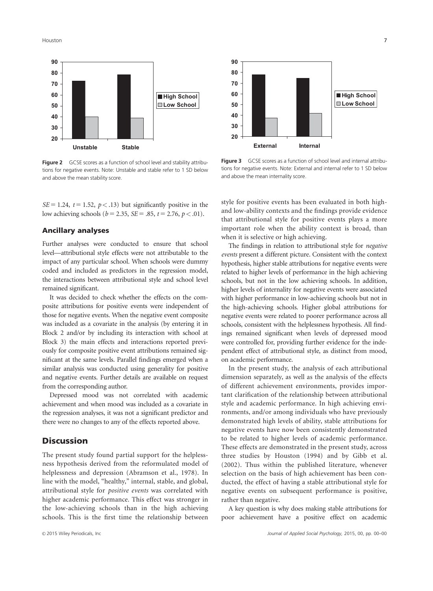Houston 2008 and 2008 and 2008 and 2008 and 2008 and 2008 and 2008 and 2008 and 2008 and 2008 and 2008 and 200



Figure 2 GCSE scores as a function of school level and stability attributions for negative events. Note: Unstable and stable refer to 1 SD below and above the mean stability score.

 $SE = 1.24$ ,  $t = 1.52$ ,  $p < .13$ ) but significantly positive in the low achieving schools ( $b = 2.35$ ,  $SE = .85$ ,  $t = 2.76$ ,  $p < .01$ ).

#### Ancillary analyses

Further analyses were conducted to ensure that school level—attributional style effects were not attributable to the impact of any particular school. When schools were dummy coded and included as predictors in the regression model, the interactions between attributional style and school level remained significant.

It was decided to check whether the effects on the composite attributions for positive events were independent of those for negative events. When the negative event composite was included as a covariate in the analysis (by entering it in Block 2 and/or by including its interaction with school at Block 3) the main effects and interactions reported previously for composite positive event attributions remained significant at the same levels. Parallel findings emerged when a similar analysis was conducted using generality for positive and negative events. Further details are available on request from the corresponding author.

Depressed mood was not correlated with academic achievement and when mood was included as a covariate in the regression analyses, it was not a significant predictor and there were no changes to any of the effects reported above.

#### **Discussion**

The present study found partial support for the helplessness hypothesis derived from the reformulated model of helplessness and depression (Abramson et al., 1978). In line with the model, "healthy," internal, stable, and global, attributional style for positive events was correlated with higher academic performance. This effect was stronger in the low-achieving schools than in the high achieving schools. This is the first time the relationship between



Figure 3 GCSE scores as a function of school level and internal attributions for negative events. Note: External and internal refer to 1 SD below and above the mean internality score.

style for positive events has been evaluated in both highand low-ability contexts and the findings provide evidence that attributional style for positive events plays a more important role when the ability context is broad, than when it is selective or high achieving.

The findings in relation to attributional style for *negative* events present a different picture. Consistent with the context hypothesis, higher stable attributions for negative events were related to higher levels of performance in the high achieving schools, but not in the low achieving schools. In addition, higher levels of internality for negative events were associated with higher performance in low-achieving schools but not in the high-achieving schools. Higher global attributions for negative events were related to poorer performance across all schools, consistent with the helplessness hypothesis. All findings remained significant when levels of depressed mood were controlled for, providing further evidence for the independent effect of attributional style, as distinct from mood, on academic performance.

In the present study, the analysis of each attributional dimension separately, as well as the analysis of the effects of different achievement environments, provides important clarification of the relationship between attributional style and academic performance. In high achieving environments, and/or among individuals who have previously demonstrated high levels of ability, stable attributions for negative events have now been consistently demonstrated to be related to higher levels of academic performance. These effects are demonstrated in the present study, across three studies by Houston (1994) and by Gibb et al. (2002). Thus within the published literature, whenever selection on the basis of high achievement has been conducted, the effect of having a stable attributional style for negative events on subsequent performance is positive, rather than negative.

A key question is why does making stable attributions for poor achievement have a positive effect on academic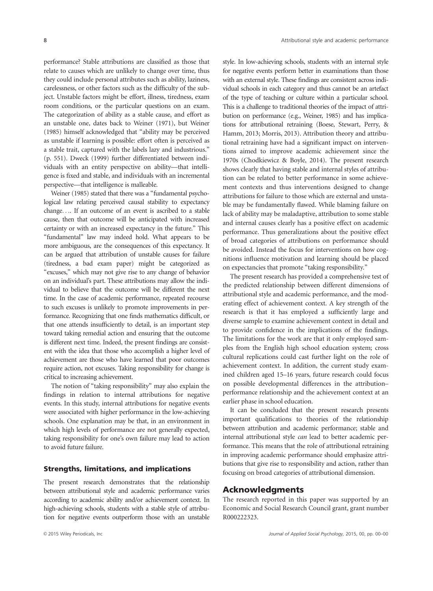performance? Stable attributions are classified as those that relate to causes which are unlikely to change over time, thus they could include personal attributes such as ability, laziness, carelessness, or other factors such as the difficulty of the subject. Unstable factors might be effort, illness, tiredness, exam room conditions, or the particular questions on an exam. The categorization of ability as a stable cause, and effort as an unstable one, dates back to Weiner (1971), but Weiner (1985) himself acknowledged that "ability may be perceived as unstable if learning is possible: effort often is perceived as a stable trait, captured with the labels lazy and industrious." (p. 551). Dweck (1999) further differentiated between individuals with an entity perspective on ability—that intelligence is fixed and stable, and individuals with an incremental perspective—that intelligence is malleable.

Weiner (1985) stated that there was a "fundamental psychological law relating perceived causal stability to expectancy change.... If an outcome of an event is ascribed to a stable cause, then that outcome will be anticipated with increased certainty or with an increased expectancy in the future." This "fundamental" law may indeed hold. What appears to be more ambiguous, are the consequences of this expectancy. It can be argued that attribution of unstable causes for failure (tiredness, a bad exam paper) might be categorized as "excuses," which may not give rise to any change of behavior on an individual's part. These attributions may allow the individual to believe that the outcome will be different the next time. In the case of academic performance, repeated recourse to such excuses is unlikely to promote improvements in performance. Recognizing that one finds mathematics difficult, or that one attends insufficiently to detail, is an important step toward taking remedial action and ensuring that the outcome is different next time. Indeed, the present findings are consistent with the idea that those who accomplish a higher level of achievement are those who have learned that poor outcomes require action, not excuses. Taking responsibility for change is critical to increasing achievement.

The notion of "taking responsibility" may also explain the findings in relation to internal attributions for negative events. In this study, internal attributions for negative events were associated with higher performance in the low-achieving schools. One explanation may be that, in an environment in which high levels of performance are not generally expected, taking responsibility for one's own failure may lead to action to avoid future failure.

#### Strengths, limitations, and implications

The present research demonstrates that the relationship between attributional style and academic performance varies according to academic ability and/or achievement context. In high-achieving schools, students with a stable style of attribution for negative events outperform those with an unstable style. In low-achieving schools, students with an internal style for negative events perform better in examinations than those with an external style. These findings are consistent across individual schools in each category and thus cannot be an artefact of the type of teaching or culture within a particular school. This is a challenge to traditional theories of the impact of attribution on performance (e.g., Weiner, 1985) and has implications for attributional retraining (Boese, Stewart, Perry, & Hamm, 2013; Morris, 2013). Attribution theory and attributional retraining have had a significant impact on interventions aimed to improve academic achievement since the 1970s (Chodkiewicz & Boyle, 2014). The present research shows clearly that having stable and internal styles of attribution can be related to better performance in some achievement contexts and thus interventions designed to change attributions for failure to those which are external and unstable may be fundamentally flawed. While blaming failure on lack of ability may be maladaptive, attribution to some stable and internal causes clearly has a positive effect on academic performance. Thus generalizations about the positive effect of broad categories of attributions on performance should be avoided. Instead the focus for interventions on how cognitions influence motivation and learning should be placed on expectancies that promote "taking responsibility."

The present research has provided a comprehensive test of the predicted relationship between different dimensions of attributional style and academic performance, and the moderating effect of achievement context. A key strength of the research is that it has employed a sufficiently large and diverse sample to examine achievement context in detail and to provide confidence in the implications of the findings. The limitations for the work are that it only employed samples from the English high school education system; cross cultural replications could cast further light on the role of achievement context. In addition, the current study examined children aged 15–16 years, future research could focus on possible developmental differences in the attribution– performance relationship and the achievement context at an earlier phase in school education.

It can be concluded that the present research presents important qualifications to theories of the relationship between attribution and academic performance; stable and internal attributional style can lead to better academic performance. This means that the role of attributional retraining in improving academic performance should emphasize attributions that give rise to responsibility and action, rather than focusing on broad categories of attributional dimension.

### Acknowledgments

The research reported in this paper was supported by an Economic and Social Research Council grant, grant number R000222323.